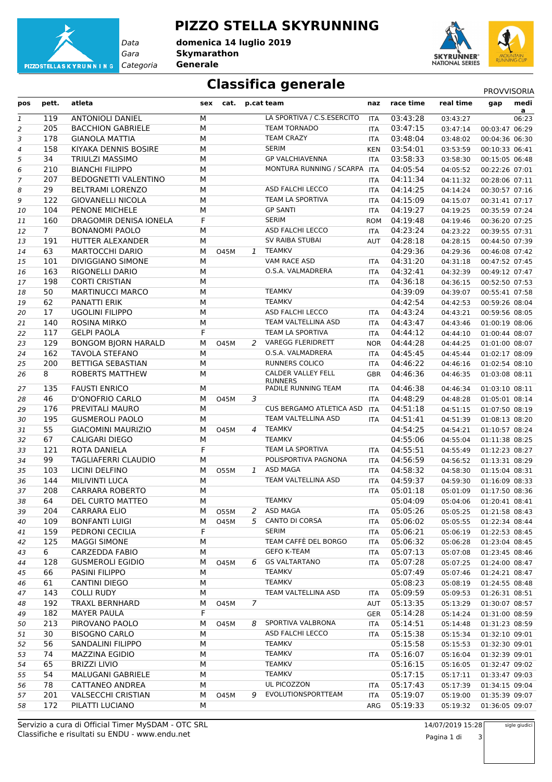

**PIZZO STELLA SKYRUNNING**

*Gara* **Skymarathon** *Categoria* **Generale domenica 14 luglio 2019**



## **Classifica generale** PROVVISORIA

| pos | pett.       | atleta                      | sex | cat.        |   | p.cat team                           | naz        | race time | real time | gap            | medi<br>a |
|-----|-------------|-----------------------------|-----|-------------|---|--------------------------------------|------------|-----------|-----------|----------------|-----------|
| 1   | 119         | <b>ANTONIOLI DANIEL</b>     | M   |             |   | LA SPORTIVA / C.S.ESERCITO           | <b>ITA</b> | 03:43:28  | 03:43:27  |                | 06:23     |
| 2   | 205         | <b>BACCHION GABRIELE</b>    | M   |             |   | <b>TEAM TORNADO</b>                  | <b>ITA</b> | 03:47:15  | 03:47:14  | 00:03:47 06:29 |           |
| 3   | 178         | <b>GIANOLA MATTIA</b>       | М   |             |   | <b>TEAM CRAZY</b>                    | <b>ITA</b> | 03:48:04  | 03:48:02  | 00:04:36 06:30 |           |
| 4   | 158         | KIYAKA DENNIS BOSIRE        | М   |             |   | <b>SERIM</b>                         | <b>KEN</b> | 03:54:01  | 03:53:59  | 00:10:33 06:41 |           |
| 5   | 34          | <b>TRIULZI MASSIMO</b>      | М   |             |   | <b>GP VALCHIAVENNA</b>               | <b>ITA</b> | 03:58:33  | 03:58:30  | 00:15:05 06:48 |           |
| 6   | 210         | <b>BIANCHI FILIPPO</b>      | М   |             |   | MONTURA RUNNING / SCARPA             | <b>ITA</b> | 04:05:54  | 04:05:52  | 00:22:26 07:01 |           |
| 7   | 207         | <b>BEDOGNETTI VALENTINO</b> | М   |             |   |                                      | <b>ITA</b> | 04:11:34  | 04:11:32  | 00:28:06 07:11 |           |
| 8   | 29          | <b>BELTRAMI LORENZO</b>     | М   |             |   | <b>ASD FALCHI LECCO</b>              | ITA        | 04:14:25  | 04:14:24  | 00:30:57 07:16 |           |
| 9   | 122         | <b>GIOVANELLI NICOLA</b>    | M   |             |   | TEAM LA SPORTIVA                     | ITA        | 04:15:09  | 04:15:07  | 00:31:41 07:17 |           |
| 10  | 104         | PENONE MICHELE              | М   |             |   | <b>GP SANTI</b>                      | <b>ITA</b> | 04:19:27  | 04:19:25  | 00:35:59 07:24 |           |
| 11  | 160         | DRAGOMIR DENISA IONELA      | F   |             |   | <b>SERIM</b>                         | <b>ROM</b> | 04:19:48  | 04:19:46  | 00:36:20 07:25 |           |
| 12  | $7^{\circ}$ | <b>BONANOMI PAOLO</b>       | М   |             |   | ASD FALCHI LECCO                     | <b>ITA</b> | 04:23:24  | 04:23:22  | 00:39:55 07:31 |           |
| 13  | 191         | HUTTER ALEXANDER            | М   |             |   | SV RAIBA STUBAI                      | AUT        | 04:28:18  | 04:28:15  | 00:44:50 07:39 |           |
| 14  | 63          | <b>MARTOCCHI DARIO</b>      | М   | 045M        | 1 | <b>TEAMKV</b>                        |            | 04:29:36  | 04:29:36  | 00:46:08 07:42 |           |
| 15  | 101         | <b>DIVIGGIANO SIMONE</b>    | M   |             |   | VAM RACE ASD                         | <b>ITA</b> | 04:31:20  | 04:31:18  | 00:47:52 07:45 |           |
| 16  | 163         | RIGONELLI DARIO             | M   |             |   | O.S.A. VALMADRERA                    | <b>ITA</b> | 04:32:41  | 04:32:39  | 00:49:12 07:47 |           |
| 17  | 198         | <b>CORTI CRISTIAN</b>       | M   |             |   |                                      | <b>ITA</b> | 04:36:18  | 04:36:15  | 00:52:50 07:53 |           |
| 18  | 50          | <b>MARTINUCCI MARCO</b>     | М   |             |   | <b>TEAMKV</b>                        |            | 04:39:09  | 04:39:07  | 00:55:41 07:58 |           |
| 19  | 62          | PANATTI ERIK                | М   |             |   | <b>TEAMKV</b>                        |            | 04:42:54  | 04:42:53  | 00:59:26 08:04 |           |
| 20  | 17          | <b>UGOLINI FILIPPO</b>      | M   |             |   | <b>ASD FALCHI LECCO</b>              | ITA.       | 04:43:24  | 04:43:21  | 00:59:56 08:05 |           |
| 21  | 140         | <b>ROSINA MIRKO</b>         | М   |             |   | TEAM VALTELLINA ASD                  | <b>ITA</b> | 04:43:47  | 04:43:46  | 01:00:19 08:06 |           |
| 22  | 117         | <b>GELPI PAOLA</b>          | F   |             |   | TEAM LA SPORTIVA                     | <b>ITA</b> | 04:44:12  | 04:44:10  | 01:00:44 08:07 |           |
| 23  | 129         | <b>BONGOM BJORN HARALD</b>  | М   | <b>O45M</b> | 2 | <b>VAREGG FLERIDRETT</b>             | <b>NOR</b> | 04:44:28  | 04:44:25  | 01:01:00 08:07 |           |
| 24  | 162         | <b>TAVOLA STEFANO</b>       | M   |             |   | O.S.A. VALMADRERA                    | <b>ITA</b> | 04:45:45  | 04:45:44  | 01:02:17 08:09 |           |
| 25  | 200         | <b>BETTIGA SEBASTIAN</b>    | М   |             |   | <b>RUNNERS COLICO</b>                | <b>ITA</b> | 04:46:22  | 04:46:16  | 01:02:54 08:10 |           |
| 26  | 8           | <b>ROBERTS MATTHEW</b>      | М   |             |   | CALDER VALLEY FELL<br><b>RUNNERS</b> | <b>GBR</b> | 04:46:36  | 04:46:35  | 01:03:08 08:11 |           |
| 27  | 135         | <b>FAUSTI ENRICO</b>        | М   |             |   | PADILE RUNNING TEAM                  | <b>ITA</b> | 04:46:38  | 04:46:34  | 01:03:10 08:11 |           |
| 28  | 46          | <b>D'ONOFRIO CARLO</b>      | M   | <b>O45M</b> | 3 |                                      | <b>ITA</b> | 04:48:29  | 04:48:28  | 01:05:01 08:14 |           |
| 29  | 176         | PREVITALI MAURO             | M   |             |   | CUS BERGAMO ATLETICA ASD             | <b>ITA</b> | 04:51:18  | 04:51:15  | 01:07:50 08:19 |           |
| 30  | 195         | <b>GUSMEROLI PAOLO</b>      | М   |             |   | TEAM VALTELLINA ASD                  | <b>ITA</b> | 04:51:41  | 04:51:39  | 01:08:13 08:20 |           |
| 31  | 55          | <b>GIACOMINI MAURIZIO</b>   | M   | <b>O45M</b> | 4 | TEAMKV                               |            | 04:54:25  | 04:54:21  | 01:10:57 08:24 |           |
| 32  | 67          | CALIGARI DIEGO              | M   |             |   | <b>TEAMKV</b>                        |            | 04:55:06  | 04:55:04  | 01:11:38 08:25 |           |
| 33  | 121         | ROTA DANIELA                | F   |             |   | TEAM LA SPORTIVA                     | <b>ITA</b> | 04:55:51  | 04:55:49  | 01:12:23 08:27 |           |
| 34  | 99          | <b>TAGLIAFERRI CLAUDIO</b>  | М   |             |   | POLISPORTIVA PAGNONA                 | <b>ITA</b> | 04:56:59  | 04:56:52  | 01:13:31 08:29 |           |
| 35  | 103         | LICINI DELFINO              | M   | <b>O55M</b> | 1 | ASD MAGA                             | <b>ITA</b> | 04:58:32  | 04:58:30  | 01:15:04 08:31 |           |
| 36  | 144         | <b>MILIVINTI LUCA</b>       | M   |             |   | TEAM VALTELLINA ASD                  | <b>ITA</b> | 04:59:37  | 04:59:30  | 01:16:09 08:33 |           |
| 37  | 208         | <b>CARRARA ROBERTO</b>      | M   |             |   |                                      | <b>ITA</b> | 05:01:18  | 05:01:09  | 01:17:50 08:36 |           |
| 38  | 64          | DEL CURTO MATTEO            | М   |             |   | <b>TEAMKV</b>                        |            | 05:04:09  | 05:04:06  | 01:20:41 08:41 |           |
| 39  | 204         | CARRARA ELIO                | М   | 055M        |   | 2 ASD MAGA                           | ITA        | 05:05:26  | 05:05:25  | 01:21:58 08:43 |           |
| 40  | 109         | <b>BONFANTI LUIGI</b>       | М   | 045M        |   | 5 CANTO DI CORSA                     | ITA.       | 05:06:02  | 05:05:55  | 01:22:34 08:44 |           |
| 41  | 159         | PEDRONI CECILIA             | F   |             |   | <b>SERIM</b>                         | ITA        | 05:06:21  | 05:06:19  | 01:22:53 08:45 |           |
| 42  | 125         | <b>MAGGI SIMONE</b>         | M   |             |   | TEAM CAFFÈ DEL BORGO                 | ITA        | 05:06:32  | 05:06:28  | 01:23:04 08:45 |           |
| 43  | 6           | CARZEDDA FABIO              | М   |             |   | <b>GEFO K-TEAM</b>                   | ITA        | 05:07:13  | 05:07:08  | 01:23:45 08:46 |           |
| 44  | 128         | <b>GUSMEROLI EGIDIO</b>     | М   | <b>O45M</b> | 6 | <b>GS VALTARTANO</b>                 | ITA.       | 05:07:28  | 05:07:25  | 01:24:00 08:47 |           |
| 45  | 66          | PASINI FILIPPO              | M   |             |   | TEAMKV                               |            | 05:07:49  | 05:07:46  | 01:24:21 08:47 |           |
| 46  | 61          | CANTINI DIEGO               | М   |             |   | TEAMKV                               |            | 05:08:23  | 05:08:19  | 01:24:55 08:48 |           |
| 47  | 143         | <b>COLLI RUDY</b>           | М   |             |   | TEAM VALTELLINA ASD                  | ITA        | 05:09:59  | 05:09:53  | 01:26:31 08:51 |           |
| 48  | 192         | TRAXL BERNHARD              | М   | 045M        | 7 |                                      | AUT        | 05:13:35  | 05:13:29  | 01:30:07 08:57 |           |
| 49  | 182         | <b>MAYER PAULA</b>          | F   |             |   |                                      | <b>GER</b> | 05:14:28  | 05:14:24  | 01:31:00 08:59 |           |
| 50  | 213         | PIROVANO PAOLO              | М   | <b>O45M</b> | 8 | SPORTIVA VALBRONA                    | ITA.       | 05:14:51  | 05:14:48  | 01:31:23 08:59 |           |
| 51  | 30          | <b>BISOGNO CARLO</b>        | М   |             |   | ASD FALCHI LECCO                     | ITA        | 05:15:38  | 05:15:34  | 01:32:10 09:01 |           |
| 52  | 56          | SANDALINI FILIPPO           | М   |             |   | <b>TEAMKV</b>                        |            | 05:15:58  | 05:15:53  | 01:32:30 09:01 |           |
| 53  | 74          | <b>MAZZINA EGIDIO</b>       | М   |             |   | TEAMKV                               | ITA.       | 05:16:07  | 05:16:04  | 01:32:39 09:01 |           |
| 54  | 65          | <b>BRIZZI LIVIO</b>         | М   |             |   | TEAMKV                               |            | 05:16:15  | 05:16:05  | 01:32:47 09:02 |           |
| 55  | 54          | MALUGANI GABRIELE           | М   |             |   | TEAMKV                               |            | 05:17:15  | 05:17:11  | 01:33:47 09:03 |           |
| 56  | 78          | CATTANEO ANDREA             | М   |             |   | UL PICOZZON                          | ITA.       | 05:17:43  | 05:17:39  | 01:34:15 09:04 |           |
| 57  | 201         | <b>VALSECCHI CRISTIAN</b>   | М   | 045M        | 9 | EVOLUTIONSPORTTEAM                   | ITA        | 05:19:07  | 05:19:00  | 01:35:39 09:07 |           |
| 58  | 172         | PILATTI LUCIANO             | М   |             |   |                                      | ARG        | 05:19:33  | 05:19:32  | 01:36:05 09:07 |           |
|     |             |                             |     |             |   |                                      |            |           |           |                |           |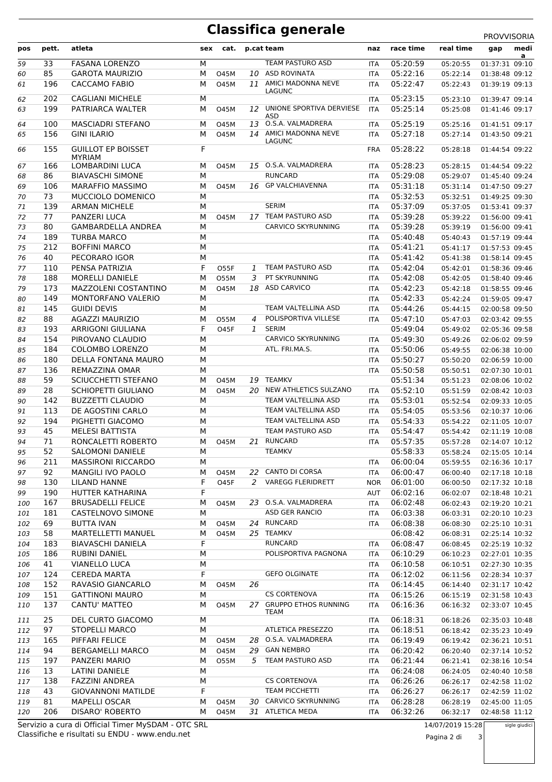#### **Classifica generale**

|     |       |                                            |     |             |    | ∍                                   |            |           |           | PROVVISORIA    |           |  |
|-----|-------|--------------------------------------------|-----|-------------|----|-------------------------------------|------------|-----------|-----------|----------------|-----------|--|
| pos | pett. | atleta                                     | sex | cat.        |    | p.cat team                          | naz        | race time | real time | gap            | medi<br>a |  |
| 59  | 33    | <b>FASANA LORENZO</b>                      | M   |             |    | TEAM PASTURO ASD                    | <b>ITA</b> | 05:20:59  | 05:20:55  | 01:37:31 09:10 |           |  |
| 60  | 85    | <b>GAROTA MAURIZIO</b>                     | M   | 045M        |    | 10 ASD ROVINATA                     | <b>ITA</b> | 05:22:16  | 05:22:14  | 01:38:48 09:12 |           |  |
| 61  | 196   | <b>CACCAMO FABIO</b>                       | M   | <b>O45M</b> |    | 11 AMICI MADONNA NEVE<br>LAGUNC     | <b>ITA</b> | 05:22:47  | 05:22:43  | 01:39:19 09:13 |           |  |
| 62  | 202   | <b>CAGLIANI MICHELE</b>                    | M   |             |    |                                     | <b>ITA</b> | 05:23:15  | 05:23:10  | 01:39:47 09:14 |           |  |
| 63  | 199   | PATRIARCA WALTER                           | М   | <b>O45M</b> | 12 | UNIONE SPORTIVA DERVIESE<br>ASD     | <b>ITA</b> | 05:25:14  | 05:25:08  | 01:41:46 09:17 |           |  |
| 64  | 100   | <b>MASCIADRI STEFANO</b>                   | М   | 045M        |    | 13 O.S.A. VALMADRERA                | <b>ITA</b> | 05:25:19  | 05:25:16  | 01:41:51 09:17 |           |  |
| 65  | 156   | <b>GINI ILARIO</b>                         | M   | <b>O45M</b> |    | 14 AMICI MADONNA NEVE<br>LAGUNC     | <b>ITA</b> | 05:27:18  | 05:27:14  | 01:43:50 09:21 |           |  |
| 66  | 155   | <b>GUILLOT EP BOISSET</b><br><b>MYRIAM</b> | F   |             |    |                                     | <b>FRA</b> | 05:28:22  | 05:28:18  | 01:44:54 09:22 |           |  |
| 67  | 166   | <b>LOMBARDINI LUCA</b>                     | M   | <b>O45M</b> |    | 15 O.S.A. VALMADRERA                | <b>ITA</b> | 05:28:23  | 05:28:15  | 01:44:54 09:22 |           |  |
| 68  | 86    | <b>BIAVASCHI SIMONE</b>                    | M   |             |    | <b>RUNCARD</b>                      | <b>ITA</b> | 05:29:08  | 05:29:07  | 01:45:40 09:24 |           |  |
| 69  | 106   | <b>MARAFFIO MASSIMO</b>                    | M   | <b>O45M</b> |    | 16 GP VALCHIAVENNA                  | <b>ITA</b> | 05:31:18  | 05:31:14  | 01:47:50 09:27 |           |  |
| 70  | 73    | MUCCIOLO DOMENICO                          | M   |             |    |                                     | <b>ITA</b> | 05:32:53  | 05:32:51  | 01:49:25 09:30 |           |  |
| 71  | 139   | <b>ARMAN MICHELE</b>                       | M   |             |    | <b>SERIM</b>                        | <b>ITA</b> | 05:37:09  | 05:37:05  | 01:53:41 09:37 |           |  |
| 72  | 77    | <b>PANZERI LUCA</b>                        | М   | 045M        |    | 17 TEAM PASTURO ASD                 | <b>ITA</b> | 05:39:28  | 05:39:22  | 01:56:00 09:41 |           |  |
| 73  | 80    | <b>GAMBARDELLA ANDREA</b>                  | M   |             |    | <b>CARVICO SKYRUNNING</b>           | <b>ITA</b> | 05:39:28  | 05:39:19  | 01:56:00 09:41 |           |  |
| 74  | 189   | <b>TURBA MARCO</b>                         | M   |             |    |                                     | <b>ITA</b> | 05:40:48  | 05:40:43  | 01:57:19 09:44 |           |  |
| 75  | 212   | <b>BOFFINI MARCO</b>                       | M   |             |    |                                     | <b>ITA</b> | 05:41:21  | 05:41:17  | 01:57:53 09:45 |           |  |
| 76  | 40    | PECORARO IGOR                              | M   |             |    |                                     | <b>ITA</b> | 05:41:42  | 05:41:38  | 01:58:14 09:45 |           |  |
| 77  | 110   | PENSA PATRIZIA                             | F   | 055F        | 1  | TEAM PASTURO ASD                    | <b>ITA</b> | 05:42:04  | 05:42:01  | 01:58:36 09:46 |           |  |
| 78  | 188   | <b>MORELLI DANIELE</b>                     | M   | 055M        | 3  | PT SKYRUNNING                       | ITA        | 05:42:08  | 05:42:05  | 01:58:40 09:46 |           |  |
| 79  | 173   | MAZZOLENI COSTANTINO                       | M   | <b>O45M</b> |    | 18 ASD CARVICO                      | <b>ITA</b> | 05:42:23  | 05:42:18  | 01:58:55 09:46 |           |  |
| 80  | 149   | MONTORFANO VALERIO                         | M   |             |    |                                     | <b>ITA</b> | 05:42:33  | 05:42:24  | 01:59:05 09:47 |           |  |
| 81  | 145   | <b>GUIDI DEVIS</b>                         | М   |             |    | TEAM VALTELLINA ASD                 | <b>ITA</b> | 05:44:26  | 05:44:15  | 02:00:58 09:50 |           |  |
| 82  | 88    | <b>AGAZZI MAURIZIO</b>                     | M   | 055M        | 4  | POLISPORTIVA VILLESE                | <b>ITA</b> | 05:47:10  | 05:47:03  | 02:03:42 09:55 |           |  |
| 83  | 193   | ARRIGONI GIULIANA                          | F   | <b>O45F</b> | 1  | <b>SERIM</b>                        |            | 05:49:04  | 05:49:02  | 02:05:36 09:58 |           |  |
| 84  | 154   | PIROVANO CLAUDIO                           | M   |             |    | CARVICO SKYRUNNING                  | ITA        | 05:49:30  | 05:49:26  | 02:06:02 09:59 |           |  |
| 85  | 184   | <b>COLOMBO LORENZO</b>                     | M   |             |    | ATL. FRI.MA.S.                      | <b>ITA</b> | 05:50:06  | 05:49:55  | 02:06:38 10:00 |           |  |
| 86  | 180   | DELLA FONTANA MAURO                        | M   |             |    |                                     | <b>ITA</b> | 05:50:27  | 05:50:20  | 02:06:59 10:00 |           |  |
| 87  | 136   | REMAZZINA OMAR                             | М   |             |    |                                     | ITA        | 05:50:58  | 05:50:51  | 02:07:30 10:01 |           |  |
| 88  | 59    | SCIUCCHETTI STEFANO                        | M   | <b>O45M</b> |    | 19 TEAMKV                           |            | 05:51:34  | 05:51:23  | 02:08:06 10:02 |           |  |
| 89  | 28    | SCHIOPETTI GIULIANO                        | M   | 045M        |    | 20 NEW ATHLETICS SULZANO            | <b>ITA</b> | 05:52:10  | 05:51:59  | 02:08:42 10:03 |           |  |
| 90  | 142   | <b>BUZZETTI CLAUDIO</b>                    | M   |             |    | TEAM VALTELLINA ASD                 | <b>ITA</b> | 05:53:01  | 05:52:54  | 02:09:33 10:05 |           |  |
| 91  | 113   | DE AGOSTINI CARLO                          | M   |             |    | TEAM VALTELLINA ASD                 | <b>ITA</b> | 05:54:05  | 05:53:56  | 02:10:37 10:06 |           |  |
| 92  | 194   | PIGHETTI GIACOMO                           | M   |             |    | TEAM VALTELLINA ASD                 | <b>ITA</b> | 05:54:33  | 05:54:22  | 02:11:05 10:07 |           |  |
| 93  | 45    | <b>MELESI BATTISTA</b>                     | M   |             |    | <b>TEAM PASTURO ASD</b>             | ITA        | 05:54:47  | 05:54:42  | 02:11:19 10:08 |           |  |
| 94  | 71    | RONCALETTI ROBERTO                         | м   | <b>O45M</b> |    | 21 RUNCARD                          | <b>ITA</b> | 05:57:35  | 05:57:28  | 02:14:07 10:12 |           |  |
| 95  | 52    | SALOMONI DANIELE                           | M   |             |    | <b>TEAMKV</b>                       |            | 05:58:33  | 05:58:24  | 02:15:05 10:14 |           |  |
| 96  | 211   | <b>MASSIRONI RICCARDO</b>                  | M   |             |    |                                     | ITA        | 06:00:04  | 05:59:55  | 02:16:36 10:17 |           |  |
| 97  | 92    | MANGILI IVO PAOLO                          | M   | <b>O45M</b> |    | 22 CANTO DI CORSA                   | ITA        | 06:00:47  | 06:00:40  | 02:17:18 10:18 |           |  |
| 98  | 130   | LILAND HANNE                               | F   | <b>O45F</b> | 2  | <b>VAREGG FLERIDRETT</b>            | <b>NOR</b> | 06:01:00  | 06:00:50  | 02:17:32 10:18 |           |  |
| 99  | 190   | HUTTER KATHARINA                           | F   |             |    |                                     | AUT        | 06:02:16  | 06:02:07  | 02:18:48 10:21 |           |  |
| 100 | 167   | <b>BRUSADELLI FELICE</b>                   | М   | <b>O45M</b> |    | 23 O.S.A. VALMADRERA                | ITA        | 06:02:48  | 06:02:43  | 02:19:20 10:21 |           |  |
| 101 | 181   | CASTELNOVO SIMONE                          | M   |             |    | ASD GER RANCIO                      | <b>ITA</b> | 06:03:38  | 06:03:31  | 02:20:10 10:23 |           |  |
| 102 | 69    | BUTTA IVAN                                 | M   | 045M        |    | 24 RUNCARD                          | ITA        | 06:08:38  | 06:08:30  | 02:25:10 10:31 |           |  |
| 103 | 58    | MARTELLETTI MANUEL                         | М   | 045M        |    | 25 TEAMKV                           |            | 06:08:42  | 06:08:31  | 02:25:14 10:32 |           |  |
| 104 | 183   | <b>BIAVASCHI DANIELA</b>                   | F   |             |    | <b>RUNCARD</b>                      | ITA        | 06:08:47  | 06:08:45  | 02:25:19 10:32 |           |  |
| 105 | 186   | RUBINI DANIEL                              | М   |             |    | POLISPORTIVA PAGNONA                | ITA        | 06:10:29  | 06:10:23  | 02:27:01 10:35 |           |  |
| 106 | 41    | <b>VIANELLO LUCA</b>                       | M   |             |    |                                     | ITA        | 06:10:58  | 06:10:51  | 02:27:30 10:35 |           |  |
| 107 | 124   | <b>CEREDA MARTA</b>                        | F   |             |    | <b>GEFO OLGINATE</b>                | ITA        | 06:12:02  | 06:11:56  | 02:28:34 10:37 |           |  |
| 108 | 152   | RAVASIO GIANCARLO                          | M   | 045M        | 26 |                                     | ITA        | 06:14:45  | 06:14:40  | 02:31:17 10:42 |           |  |
| 109 | 151   | <b>GATTINONI MAURO</b>                     | M   |             |    | <b>CS CORTENOVA</b>                 | ITA        | 06:15:26  | 06:15:19  | 02:31:58 10:43 |           |  |
| 110 | 137   | CANTU' MATTEO                              | M   | 045M        | 27 | <b>GRUPPO ETHOS RUNNING</b><br>TEAM | ITA        | 06:16:36  | 06:16:32  | 02:33:07 10:45 |           |  |
| 111 | 25    | DEL CURTO GIACOMO                          | M   |             |    |                                     | ITA        | 06:18:31  | 06:18:26  | 02:35:03 10:48 |           |  |
| 112 | 97    | STOPELLI MARCO                             | M   |             |    | ATLETICA PRESEZZO                   | ITA        | 06:18:51  | 06:18:42  | 02:35:23 10:49 |           |  |
| 113 | 165   | PIFFARI FELICE                             | M   | 045M        |    | 28 O.S.A. VALMADRERA                | ITA        | 06:19:49  | 06:19:42  | 02:36:21 10:51 |           |  |
| 114 | 94    | <b>BERGAMELLI MARCO</b>                    | M   | 045M        |    | 29 GAN NEMBRO                       | ITA        | 06:20:42  | 06:20:40  | 02:37:14 10:52 |           |  |
| 115 | 197   | PANZERI MARIO                              | M   | 055M        | 5  | TEAM PASTURO ASD                    | <b>ITA</b> | 06:21:44  | 06:21:41  | 02:38:16 10:54 |           |  |
| 116 | 13    | LATINI DANIELE                             | M   |             |    |                                     | ITA        | 06:24:08  | 06:24:05  | 02:40:40 10:58 |           |  |
| 117 | 138   | <b>FAZZINI ANDREA</b>                      | M   |             |    | <b>CS CORTENOVA</b>                 | <b>ITA</b> | 06:26:26  | 06:26:17  | 02:42:58 11:02 |           |  |
| 118 | 43    | <b>GIOVANNONI MATILDE</b>                  | F   |             |    | <b>TEAM PICCHETTI</b>               | <b>ITA</b> | 06:26:27  | 06:26:17  | 02:42:59 11:02 |           |  |
| 119 | 81    | <b>MAPELLI OSCAR</b>                       | M   | 045M        |    | 30 CARVICO SKYRUNNING               | ITA        | 06:28:28  | 06:28:19  | 02:45:00 11:05 |           |  |
| 120 | 206   | DISARO' ROBERTO                            | М   | 045M        |    | 31 ATLETICA MEDA                    | ITA        | 06:32:26  | 06:32:17  | 02:48:58 11:12 |           |  |
|     |       |                                            |     |             |    |                                     |            |           |           |                |           |  |

Classifiche e risultati su ENDU - www.endu.net Servizio a cura di Official Timer MySDAM - OTC SRL 14/07/2019 15:28

Pagina 2 di 3

sigle giudici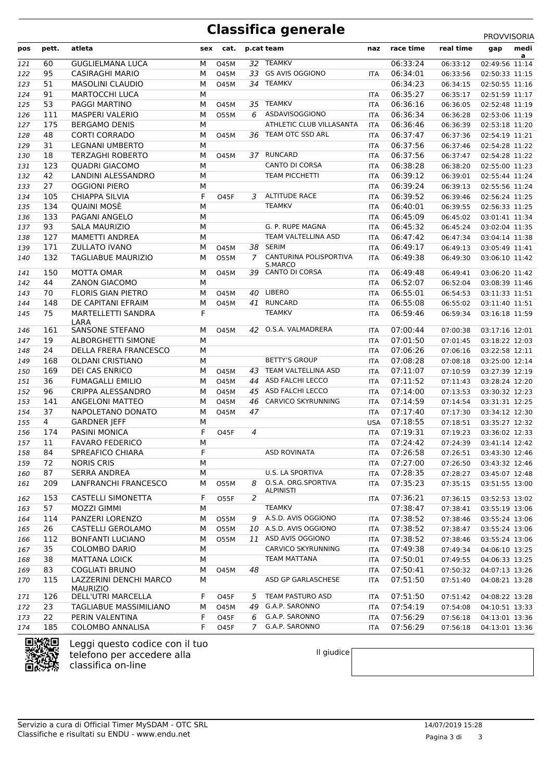## **Classifica generale** PROVVISORIA

| pos | pett.          | atleta                                    |        | sex cat.    |                | p.cat team                  | naz        | race time | real time | medi<br>gap                      |
|-----|----------------|-------------------------------------------|--------|-------------|----------------|-----------------------------|------------|-----------|-----------|----------------------------------|
| 121 | 60             | <b>GUGLIELMANA LUCA</b>                   | М      | 045M        |                | 32 TEAMKV                   |            | 06:33:24  | 06:33:12  | a<br>02:49:56 11:14              |
| 122 | 95             | <b>CASIRAGHI MARIO</b>                    | М      | <b>O45M</b> |                | 33 GS AVIS OGGIONO          | ITA        | 06:34:01  | 06:33:56  | 02:50:33 11:15                   |
| 123 | 51             | <b>MASOLINI CLAUDIO</b>                   | M      | <b>O45M</b> |                | 34 TEAMKV                   |            | 06:34:23  | 06:34:15  | 02:50:55 11:16                   |
| 124 | 91             | <b>MARTOCCHI LUCA</b>                     | M      |             |                |                             | <b>ITA</b> | 06:35:27  | 06:35:17  | 02:51:59 11:17                   |
| 125 | 53             | <b>PAGGI MARTINO</b>                      | М      | <b>O45M</b> |                | 35 TEAMKV                   | <b>ITA</b> | 06:36:16  | 06:36:05  | 02:52:48 11:19                   |
| 126 | 111            | <b>MASPERI VALERIO</b>                    | М      | 055M        | 6              | ASDAVISOGGIONO              | <b>ITA</b> | 06:36:34  | 06:36:28  | 02:53:06 11:19                   |
| 127 | 175            | <b>BERGAMO DENIS</b>                      | M      |             |                | ATHLETIC CLUB VILLASANTA    | <b>ITA</b> | 06:36:46  | 06:36:39  | 02:53:18 11:20                   |
| 128 | 48             | <b>CORTI CORRADO</b>                      | М      | <b>O45M</b> |                | 36 TEAM OTC SSD ARL         | <b>ITA</b> | 06:37:47  | 06:37:36  | 02:54:19 11:21                   |
| 129 | 31             | <b>LEGNANI UMBERTO</b>                    | M      |             |                |                             | <b>ITA</b> | 06:37:56  | 06:37:46  | 02:54:28 11:22                   |
| 130 | 18             | <b>TERZAGHI ROBERTO</b>                   | M      | <b>O45M</b> |                | 37 RUNCARD                  | <b>ITA</b> | 06:37:56  | 06:37:47  | 02:54:28 11:22                   |
| 131 | 123            | <b>QUADRI GIACOMO</b>                     | M      |             |                | <b>CANTO DI CORSA</b>       | <b>ITA</b> | 06:38:28  | 06:38:20  | 02:55:00 11:23                   |
| 132 | 42             | LANDINI ALESSANDRO                        | M      |             |                | <b>TEAM PICCHETTI</b>       | <b>ITA</b> | 06:39:12  | 06:39:01  | 02:55:44 11:24                   |
| 133 | 27             | <b>OGGIONI PIERO</b>                      | М      |             |                |                             | <b>ITA</b> | 06:39:24  | 06:39:13  | 02:55:56 11:24                   |
| 134 | 105            | <b>CHIAPPA SILVIA</b>                     | F      | <b>O45F</b> | 3.             | <b>ALTITUDE RACE</b>        | <b>ITA</b> | 06:39:52  | 06:39:46  | 02:56:24 11:25                   |
| 135 | 134            | <b>QUAINI MOSÈ</b>                        | M      |             |                | <b>TEAMKV</b>               | <b>ITA</b> | 06:40:01  | 06:39:55  | 02:56:33 11:25                   |
| 136 | 133            | PAGANI ANGELO                             | M      |             |                |                             | <b>ITA</b> | 06:45:09  | 06:45:02  | 03:01:41 11:34                   |
| 137 | 93             | <b>SALA MAURIZIO</b>                      | M      |             |                | G. P. RUPE MAGNA            | <b>ITA</b> | 06:45:32  | 06:45:24  | 03:02:04 11:35                   |
| 138 | 127            | <b>MAMETTI ANDREA</b>                     | M      |             |                | TEAM VALTELLINA ASD         | <b>ITA</b> | 06:47:42  | 06:47:34  | 03:04:14 11:38                   |
| 139 | 171            | <b>ZULLATO IVANO</b>                      | М      | <b>O45M</b> | 38             | <b>SERIM</b>                | <b>ITA</b> | 06:49:17  | 06:49:13  | 03:05:49 11:41                   |
| 140 | 132            | <b>TAGLIABUE MAURIZIO</b>                 | М      | 055M        | $7^{\circ}$    | CANTURINA POLISPORTIVA      | <b>ITA</b> | 06:49:38  | 06:49:30  | 03:06:10 11:42                   |
|     |                |                                           |        |             |                | S.MARCO                     |            |           |           |                                  |
| 141 | 150            | MOTTA OMAR                                | М      | <b>O45M</b> |                | 39 CANTO DI CORSA           | <b>ITA</b> | 06:49:48  | 06:49:41  | 03:06:20 11:42                   |
| 142 | 44             | <b>ZANON GIACOMO</b>                      | M      |             |                |                             | <b>ITA</b> | 06:52:07  | 06:52:04  | 03:08:39 11:46                   |
| 143 | 70             | <b>FLORIS GIAN PIETRO</b>                 | М      | <b>O45M</b> |                | 40 LIBERO                   | <b>ITA</b> | 06:55:01  | 06:54:53  | 03:11:33 11:51                   |
| 144 | 148            | DE CAPITANI EFRAIM                        | М<br>F | <b>O45M</b> |                | 41 RUNCARD<br><b>TEAMKV</b> | <b>ITA</b> | 06:55:08  | 06:55:02  | 03:11:40 11:51                   |
| 145 | 75             | MARTELLETTI SANDRA<br>LARA                |        |             |                |                             | <b>ITA</b> | 06:59:46  | 06:59:34  | 03:16:18 11:59                   |
| 146 | 161            | <b>SANSONE STEFANO</b>                    | М      | <b>O45M</b> |                | 42 O.S.A. VALMADRERA        | ITA        | 07:00:44  | 07:00:38  | 03:17:16 12:01                   |
| 147 | 19             | ALBORGHETTI SIMONE                        | M      |             |                |                             | <b>ITA</b> | 07:01:50  | 07:01:45  | 03:18:22 12:03                   |
| 148 | 24             | DELLA FRERA FRANCESCO                     | M      |             |                |                             | <b>ITA</b> | 07:06:26  | 07:06:16  | 03:22:58 12:11                   |
| 149 | 168            | <b>OLDANI CRISTIANO</b>                   | M      |             |                | <b>BETTY'S GROUP</b>        | <b>ITA</b> | 07:08:28  | 07:08:18  | 03:25:00 12:14                   |
| 150 | 169            | DEI CAS ENRICO                            | M      | <b>O45M</b> |                | 43 TEAM VALTELLINA ASD      | <b>ITA</b> | 07:11:07  | 07:10:59  | 03:27:39 12:19                   |
| 151 | 36             | <b>FUMAGALLI EMILIO</b>                   | М      | <b>O45M</b> |                | 44 ASD FALCHI LECCO         | <b>ITA</b> | 07:11:52  | 07:11:43  | 03:28:24 12:20                   |
| 152 | 96             | CRIPPA ALESSANDRO                         | М      | <b>O45M</b> |                | 45 ASD FALCHI LECCO         | <b>ITA</b> | 07:14:00  | 07:13:53  | 03:30:32 12:23                   |
| 153 | 141            | <b>ANGELONI MATTEO</b>                    | М      | 045M        |                | 46 CARVICO SKYRUNNING       | <b>ITA</b> | 07:14:59  | 07:14:54  | 03:31:31 12:25                   |
| 154 | 37             | NAPOLETANO DONATO                         | М      | <b>O45M</b> | 47             |                             | <b>ITA</b> | 07:17:40  | 07:17:30  | 03:34:12 12:30                   |
| 155 | $\overline{4}$ | <b>GARDNER JEFF</b>                       | М      |             |                |                             | <b>USA</b> | 07:18:55  | 07:18:51  | 03:35:27 12:32                   |
| 156 | 174            | <b>PASINI MONICA</b>                      | F      | <b>O45F</b> | 4              |                             | <b>ITA</b> | 07:19:31  | 07:19:23  | 03:36:02 12:33                   |
| 157 | 11             | <b>FAVARO FEDERICO</b>                    | M      |             |                |                             | <b>ITA</b> | 07:24:42  | 07:24:39  | 03:41:14 12:42                   |
| 158 | 84             | SPREAFICO CHIARA                          | F      |             |                | <b>ASD ROVINATA</b>         | ITA        | 07:26:58  | 07:26:51  | 03:43:30 12:46                   |
| 159 | 72             | <b>NORIS CRIS</b>                         | M      |             |                |                             | <b>ITA</b> | 07:27:00  | 07:26:50  | 03:43:32 12:46                   |
| 160 | 87             | <b>SERRA ANDREA</b>                       | М      |             |                | U.S. LA SPORTIVA            | <b>ITA</b> | 07:28:35  | 07:28:27  | 03:45:07 12:48                   |
| 161 | 209            | LANFRANCHI FRANCESCO                      | м      | 055M        | 8              | O.S.A. ORG.SPORTIVA         | ITA        | 07:35:23  | 07:35:15  | 03:51:55 13:00                   |
|     |                | <b>CASTELLI SIMONETTA</b>                 | F      |             |                | <b>ALPINISTI</b>            |            |           |           |                                  |
| 162 | 153            |                                           |        | 055F        | 2              | <b>TEAMKV</b>               | ITA        | 07:36:21  | 07:36:15  | 03:52:53 13:02                   |
| 163 | 57             | MOZZI GIMMI<br>PANZERI LORENZO            | М      |             |                | A.S.D. AVIS OGGIONO         |            | 07:38:47  | 07:38:41  | 03:55:19 13:06                   |
| 164 | 114<br>26      | CASTELLI GEROLAMO                         | М      | 055M        | 9              | 10 A.S.D. AVIS OGGIONO      | ITA        | 07:38:52  | 07:38:46  | 03:55:24 13:06                   |
| 165 | 112            |                                           | М      | 055M        |                | 11 ASD AVIS OGGIONO         | <b>ITA</b> | 07:38:52  | 07:38:47  | 03:55:24 13:06                   |
| 166 | 35             | <b>BONFANTI LUCIANO</b>                   | М      | 055M        |                | CARVICO SKYRUNNING          | ITA        | 07:38:52  | 07:38:46  | 03:55:24 13:06<br>04:06:10 13:25 |
| 167 |                | <b>COLOMBO DARIO</b>                      | M      |             |                | TEAM MATTANA                | <b>ITA</b> | 07:49:38  | 07:49:34  | 04:06:33 13:25                   |
| 168 | 38             | <b>MATTANA LOICK</b>                      | М      |             |                |                             | <b>ITA</b> | 07:50:01  | 07:49:55  |                                  |
| 169 | 83             | <b>COGLIATI BRUNO</b>                     | М      | <b>O45M</b> | 48             | ASD GP GARLASCHESE          | ITA        | 07:50:41  | 07:50:32  | 04:07:13 13:26                   |
| 170 | 115            | LAZZERINI DENCHI MARCO<br><b>MAURIZIO</b> | М      |             |                |                             | <b>ITA</b> | 07:51:50  | 07:51:40  | 04:08:21 13:28                   |
| 171 | 126            | DELL'UTRI MARCELLA                        | F      | <b>O45F</b> | 5              | TEAM PASTURO ASD            | ITA        | 07:51:50  | 07:51:42  | 04:08:22 13:28                   |
| 172 | 23             | TAGLIABUE MASSIMILIANO                    | М      | <b>O45M</b> |                | 49 G.A.P. SARONNO           | <b>ITA</b> | 07:54:19  | 07:54:08  | 04:10:51 13:33                   |
| 173 | 22             | PERIN VALENTINA                           | F      | <b>O45F</b> | 6              | G.A.P. SARONNO              | <b>ITA</b> | 07:56:29  | 07:56:18  | 04:13:01 13:36                   |
| 174 | 185            | <b>COLOMBO ANNALISA</b>                   | F      | <b>O45F</b> | $\overline{7}$ | G.A.P. SARONNO              | <b>ITA</b> | 07:56:29  | 07:56:18  | 04:13:01 13:36                   |



Leggi questo codice con il tuo telefono per accedere alla classifica on-line

Il giudice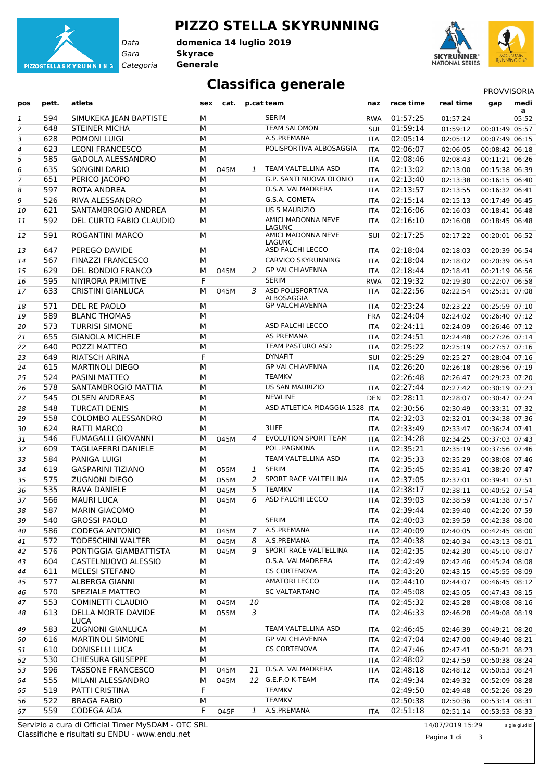

#### **PIZZO STELLA SKYRUNNING**

*Gara* **Skyrace** *Categoria* **Generale domenica 14 luglio 2019**

**SKYRUNNER** NATIONAL SERIES

## **Classifica generale** PROVVISORIA

| pos            | pett.      | atleta                                       | sex    | cat.        |               | p.cat team                                               | naz                      | race time            | real time            | gap                              | medi<br>a |
|----------------|------------|----------------------------------------------|--------|-------------|---------------|----------------------------------------------------------|--------------------------|----------------------|----------------------|----------------------------------|-----------|
| 1              | 594        | SIMUKEKA JEAN BAPTISTE                       | M      |             |               | <b>SERIM</b>                                             | <b>RWA</b>               | 01:57:25             | 01:57:24             |                                  | 05:52     |
| $\overline{a}$ | 648        | STEINER MICHA                                | M      |             |               | <b>TEAM SALOMON</b>                                      | SUI                      | 01:59:14             | 01:59:12             | 00:01:49 05:57                   |           |
| 3              | 628        | POMONI LUIGI                                 | M      |             |               | A.S.PREMANA                                              | <b>ITA</b>               | 02:05:14             | 02:05:12             | 00:07:49 06:15                   |           |
| $\overline{a}$ | 623        | <b>LEONI FRANCESCO</b>                       | M      |             |               | POLISPORTIVA ALBOSAGGIA                                  | <b>ITA</b>               | 02:06:07             | 02:06:05             | 00:08:42 06:18                   |           |
| 5              | 585        | <b>GADOLA ALESSANDRO</b>                     | M      |             |               |                                                          | <b>ITA</b>               | 02:08:46             | 02:08:43             | 00:11:21 06:26                   |           |
| 6              | 635        | <b>SONGINI DARIO</b>                         | M      | 045M        | $\mathcal{I}$ | TEAM VALTELLINA ASD                                      | <b>ITA</b>               | 02:13:02             | 02:13:00             | 00:15:38 06:39                   |           |
| 7              | 651        | PERICO JACOPO                                | M      |             |               | G.P. SANTI NUOVA OLONIO                                  | <b>ITA</b>               | 02:13:40             | 02:13:38             | 00:16:15 06:40                   |           |
| 8              | 597        | <b>ROTA ANDREA</b>                           | M      |             |               | O.S.A. VALMADRERA                                        | <b>ITA</b>               | 02:13:57             | 02:13:55             | 00:16:32 06:41                   |           |
| 9              | 526        | RIVA ALESSANDRO                              | M      |             |               | G.S.A. COMETA                                            | <b>ITA</b>               | 02:15:14             | 02:15:13             | 00:17:49 06:45                   |           |
| 10             | 621        | SANTAMBROGIO ANDREA                          | M      |             |               | <b>US S MAURIZIO</b>                                     | <b>ITA</b>               | 02:16:06             | 02:16:03             | 00:18:41 06:48                   |           |
| 11             | 592        | DEL CURTO FABIO CLAUDIO                      | M      |             |               | AMICI MADONNA NEVE<br>LAGUNC                             | <b>ITA</b>               | 02:16:10             | 02:16:08             | 00:18:45 06:48                   |           |
| 12             | 591        | ROGANTINI MARCO                              | М      |             |               | AMICI MADONNA NEVE<br>LAGUNC                             | <b>SUI</b>               | 02:17:25             | 02:17:22             | 00:20:01 06:52                   |           |
| 13             | 647        | PEREGO DAVIDE                                | М      |             |               | ASD FALCHI LECCO                                         | ITA                      | 02:18:04             | 02:18:03             | 00:20:39 06:54                   |           |
| 14             | 567        | <b>FINAZZI FRANCESCO</b>                     | M      |             |               | CARVICO SKYRUNNING                                       | ITA                      | 02:18:04             | 02:18:02             | 00:20:39 06:54                   |           |
| 15             | 629        | DEL BONDIO FRANCO                            | M      | <b>O45M</b> | 2             | <b>GP VALCHIAVENNA</b><br><b>SERIM</b>                   | <b>ITA</b>               | 02:18:44             | 02:18:41             | 00:21:19 06:56                   |           |
| 16             | 595        | NIYIRORA PRIMITIVE                           | F      |             |               |                                                          | <b>RWA</b>               | 02:19:32             | 02:19:30             | 00:22:07 06:58                   |           |
| 17             | 633        | <b>CRISTINI GIANLUCA</b>                     | M      | 045M        | 3             | ASD POLISPORTIVA<br>ALBOSAGGIA<br><b>GP VALCHIAVENNA</b> | ITA                      | 02:22:56             | 02:22:54             | 00:25:31 07:08                   |           |
| 18             | 571        | DEL RE PAOLO                                 | M      |             |               |                                                          | ITA                      | 02:23:24             | 02:23:22             | 00:25:59 07:10                   |           |
| 19             | 589<br>573 | <b>BLANC THOMAS</b><br><b>TURRISI SIMONE</b> | M<br>M |             |               | ASD FALCHI LECCO                                         | <b>FRA</b>               | 02:24:04<br>02:24:11 | 02:24:02             | 00:26:40 07:12                   |           |
| 20             | 655        | <b>GIANOLA MICHELE</b>                       | M      |             |               | <b>AS PREMANA</b>                                        | <b>ITA</b>               | 02:24:51             | 02:24:09             | 00:26:46 07:12                   |           |
| 21             | 640        | POZZI MATTEO                                 | M      |             |               | <b>TEAM PASTURO ASD</b>                                  | <b>ITA</b>               |                      | 02:24:48             | 00:27:26 07:14                   |           |
| 22             | 649        | <b>RIATSCH ARINA</b>                         | F      |             |               | <b>DYNAFIT</b>                                           | <b>ITA</b>               | 02:25:22<br>02:25:29 | 02:25:19             | 00:27:57 07:16                   |           |
| 23             | 615        | <b>MARTINOLI DIEGO</b>                       | M      |             |               | <b>GP VALCHIAVENNA</b>                                   | SUI                      | 02:26:20             | 02:25:27             | 00:28:04 07:16                   |           |
| 24             | 524        | PASINI MATTEO                                | M      |             |               | <b>TEAMKV</b>                                            | <b>ITA</b>               | 02:26:48             | 02:26:18<br>02:26:47 | 00:28:56 07:19<br>00:29:23 07:20 |           |
| 25             | 578        | SANTAMBROGIO MATTIA                          | M      |             |               | <b>US SAN MAURIZIO</b>                                   |                          | 02:27:44             | 02:27:42             | 00:30:19 07:23                   |           |
| 26<br>27       | 545        | <b>OLSEN ANDREAS</b>                         | M      |             |               | <b>NEWLINE</b>                                           | <b>ITA</b><br><b>DEN</b> | 02:28:11             | 02:28:07             | 00:30:47 07:24                   |           |
| 28             | 548        | <b>TURCATI DENIS</b>                         | M      |             |               | ASD ATLETICA PIDAGGIA 1528                               | <b>ITA</b>               | 02:30:56             | 02:30:49             | 00:33:31 07:32                   |           |
| 29             | 558        | COLOMBO ALESSANDRO                           | M      |             |               |                                                          | ITA                      | 02:32:03             | 02:32:01             | 00:34:38 07:36                   |           |
| 30             | 624        | <b>RATTI MARCO</b>                           | М      |             |               | 3LIFE                                                    | ITA                      | 02:33:49             | 02:33:47             | 00:36:24 07:41                   |           |
| 31             | 546        | <b>FUMAGALLI GIOVANNI</b>                    | M      | <b>O45M</b> | 4             | <b>EVOLUTION SPORT TEAM</b>                              | ITA                      | 02:34:28             | 02:34:25             | 00:37:03 07:43                   |           |
| 32             | 609        | <b>TAGLIAFERRI DANIELE</b>                   | M      |             |               | POL. PAGNONA                                             | <b>ITA</b>               | 02:35:21             | 02:35:19             | 00:37:56 07:46                   |           |
| 33             | 584        | <b>PANIGA LUIGI</b>                          | M      |             |               | TEAM VALTELLINA ASD                                      | <b>ITA</b>               | 02:35:33             | 02:35:29             | 00:38:08 07:46                   |           |
| 34             | 619        | <b>GASPARINI TIZIANO</b>                     | M      | 055M        | 1             | <b>SERIM</b>                                             | ITA                      | 02:35:45             | 02:35:41             | 00:38:20 07:47                   |           |
| 35             | 575        | <b>ZUGNONI DIEGO</b>                         | M      | 055M        | 2             | SPORT RACE VALTELLINA                                    | <b>ITA</b>               | 02:37:05             | 02:37:01             | 00:39:41 07:51                   |           |
| 36             | 535        | RAVA DANIELE                                 | M      | <b>O45M</b> | 5             | <b>TEAMKV</b>                                            | ITA                      | 02:38:17             | 02:38:11             | 00:40:52 07:54                   |           |
| 37             | 566        | <b>MAURI LUCA</b>                            | M      | <b>O45M</b> | 6             | ASD FALCHI LECCO                                         | <b>ITA</b>               | 02:39:03             | 02:38:59             | 00:41:38 07:57                   |           |
| 38             | 587        | <b>MARIN GIACOMO</b>                         | М      |             |               |                                                          | <b>ITA</b>               | 02:39:44             | 02:39:40             | 00:42:20 07:59                   |           |
| 39             | 540        | <b>GROSSI PAOLO</b>                          | М      |             |               | <b>SERIM</b>                                             | ITA                      | 02:40:03             | 02:39:59             | 00:42:38 08:00                   |           |
| 40             | 586        | CODEGA ANTONIO                               | M      | 045M        |               | 7 A.S.PREMANA                                            | ITA                      | 02:40:09             | 02:40:05             | 00:42:45 08:00                   |           |
| 41             | 572        | <b>TODESCHINI WALTER</b>                     | М      | 045M        | 8             | A.S.PREMANA                                              | ITA                      | 02:40:38             | 02:40:34             | 00:43:13 08:01                   |           |
| 42             | 576        | PONTIGGIA GIAMBATTISTA                       | М      | 045M        | 9             | SPORT RACE VALTELLINA                                    | ITA                      | 02:42:35             | 02:42:30             | 00:45:10 08:07                   |           |
| 43             | 604        | CASTELNUOVO ALESSIO                          | M      |             |               | O.S.A. VALMADRERA                                        | ITA                      | 02:42:49             | 02:42:46             | 00:45:24 08:08                   |           |
| 44             | 611        | <b>MELESI STEFANO</b>                        | M      |             |               | <b>CS CORTENOVA</b>                                      | ITA                      | 02:43:20             | 02:43:15             | 00:45:55 08:09                   |           |
| 45             | 577        | ALBERGA GIANNI                               | М      |             |               | <b>AMATORI LECCO</b>                                     | ITA                      | 02:44:10             | 02:44:07             | 00:46:45 08:12                   |           |
| 46             | 570        | SPEZIALE MATTEO                              | М      |             |               | <b>SC VALTARTANO</b>                                     | ITA                      | 02:45:08             | 02:45:05             | 00:47:43 08:15                   |           |
| 47             | 553        | COMINETTI CLAUDIO                            | М      | <b>O45M</b> | 10            |                                                          | ITA                      | 02:45:32             | 02:45:28             | 00:48:08 08:16                   |           |
| 48             | 613        | DELLA MORTE DAVIDE<br>LUCA                   | М      | 055M        | 3             |                                                          | <b>ITA</b>               | 02:46:33             | 02:46:28             | 00:49:08 08:19                   |           |
| 49             | 583        | ZUGNONI GIANLUCA                             | M      |             |               | TEAM VALTELLINA ASD                                      | ITA                      | 02:46:45             | 02:46:39             | 00:49:21 08:20                   |           |
| 50             | 616        | <b>MARTINOLI SIMONE</b>                      | М      |             |               | <b>GP VALCHIAVENNA</b>                                   | ITA                      | 02:47:04             | 02:47:00             | 00:49:40 08:21                   |           |
| 51             | 610        | <b>DONISELLI LUCA</b>                        | M      |             |               | <b>CS CORTENOVA</b>                                      | ITA                      | 02:47:46             | 02:47:41             | 00:50:21 08:23                   |           |
| 52             | 530        | <b>CHIESURA GIUSEPPE</b>                     | М      |             |               |                                                          | ITA                      | 02:48:02             | 02:47:59             | 00:50:38 08:24                   |           |
| 53             | 596        | <b>TASSONE FRANCESCO</b>                     | М      | 045M        |               | 11 O.S.A. VALMADRERA                                     | ITA                      | 02:48:18             | 02:48:12             | 00:50:53 08:24                   |           |
| 54             | 555        | MILANI ALESSANDRO                            | М      | 045M        |               | 12 G.E.F.O K-TEAM                                        | <b>ITA</b>               | 02:49:34             | 02:49:32             | 00:52:09 08:28                   |           |
| 55             | 519        | PATTI CRISTINA                               | F      |             |               | <b>TEAMKV</b>                                            |                          | 02:49:50             | 02:49:48             | 00:52:26 08:29                   |           |
| 56             | 522        | <b>BRAGA FABIO</b>                           | М      |             |               | <b>TEAMKV</b>                                            |                          | 02:50:38             | 02:50:36             | 00:53:14 08:31                   |           |
| 57             | 559        | CODEGA ADA                                   | F      | <b>O45F</b> |               | 1 A.S.PREMANA                                            | ITA                      | 02:51:18             | 02:51:14             | 00:53:53 08:33                   |           |
|                |            |                                              |        |             |               |                                                          |                          |                      |                      |                                  |           |

Classifiche e risultati su ENDU - www.endu.net Servizio a cura di Official Timer MySDAM - OTC SRL 14/07/2019 15:29

sigle giudici

Pagina 1 di 3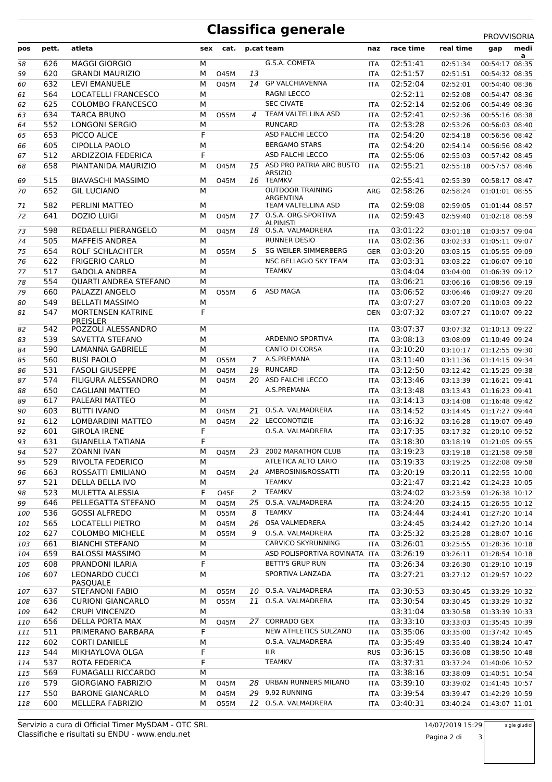# **Classifica generale** PROVVISORIA

| pos | pett.      | atleta                                      | sex    | cat.        |    | p.cat team                                      | naz        | race time            | real time | medi<br>gap    |
|-----|------------|---------------------------------------------|--------|-------------|----|-------------------------------------------------|------------|----------------------|-----------|----------------|
|     |            |                                             |        |             |    |                                                 |            |                      |           | a              |
| 58  | 626        | <b>MAGGI GIORGIO</b>                        | М      |             |    | G.S.A. COMETA                                   | ITA        | 02:51:41             | 02:51:34  | 00:54:17 08:35 |
| 59  | 620        | <b>GRANDI MAURIZIO</b>                      | М      | <b>O45M</b> | 13 |                                                 | <b>ITA</b> | 02:51:57             | 02:51:51  | 00:54:32 08:35 |
| 60  | 632        | LEVI EMANUELE                               | М      | <b>O45M</b> |    | 14 GP VALCHIAVENNA                              | <b>ITA</b> | 02:52:04             | 02:52:01  | 00:54:40 08:36 |
| 61  | 564        | <b>LOCATELLI FRANCESCO</b>                  | M      |             |    | <b>RAGNI LECCO</b>                              |            | 02:52:11             | 02:52:08  | 00:54:47 08:36 |
| 62  | 625        | <b>COLOMBO FRANCESCO</b>                    | М      |             |    | <b>SEC CIVATE</b>                               | <b>ITA</b> | 02:52:14             | 02:52:06  | 00:54:49 08:36 |
| 63  | 634        | <b>TARCA BRUNO</b>                          | М      | 055M        | 4  | TEAM VALTELLINA ASD                             | <b>ITA</b> | 02:52:41             | 02:52:36  | 00:55:16 08:38 |
| 64  | 552        | <b>LONGONI SERGIO</b>                       | M      |             |    | <b>RUNCARD</b>                                  | <b>ITA</b> | 02:53:28             | 02:53:26  | 00:56:03 08:40 |
| 65  | 653        | PICCO ALICE                                 | F      |             |    | ASD FALCHI LECCO                                | <b>ITA</b> | 02:54:20             | 02:54:18  | 00:56:56 08:42 |
| 66  | 605        | CIPOLLA PAOLO                               | M<br>F |             |    | <b>BERGAMO STARS</b><br><b>ASD FALCHI LECCO</b> | <b>ITA</b> | 02:54:20             | 02:54:14  | 00:56:56 08:42 |
| 67  | 512<br>658 | <b>ARDIZZOIA FEDERICA</b>                   |        |             |    | 15 ASD PRO PATRIA ARC BUSTO                     | <b>ITA</b> | 02:55:06<br>02:55:21 | 02:55:03  | 00:57:42 08:45 |
| 68  |            | PIANTANIDA MAURIZIO                         | М      | 045M        |    | <b>ARSIZIO</b>                                  | <b>ITA</b> |                      | 02:55:18  | 00:57:57 08:46 |
| 69  | 515        | <b>BIAVASCHI MASSIMO</b>                    | М      | <b>O45M</b> |    | 16 TEAMKV                                       |            | 02:55:41             | 02:55:39  | 00:58:17 08:47 |
| 70  | 652        | <b>GIL LUCIANO</b>                          | M      |             |    | <b>OUTDOOR TRAINING</b>                         | ARG        | 02:58:26             | 02:58:24  | 01:01:01 08:55 |
| 71  | 582        | PERLINI MATTEO                              | M      |             |    | ARGENTINA<br>TEAM VALTELLINA ASD                | <b>ITA</b> | 02:59:08             | 02:59:05  | 01:01:44 08:57 |
| 72  | 641        | <b>DOZIO LUIGI</b>                          | М      | <b>O45M</b> |    | 17 O.S.A. ORG.SPORTIVA                          | <b>ITA</b> | 02:59:43             | 02:59:40  | 01:02:18 08:59 |
|     |            |                                             |        |             |    | <b>ALPINISTI</b>                                |            |                      |           |                |
| 73  | 598        | REDAELLI PIERANGELO                         | M      | <b>O45M</b> |    | 18 O.S.A. VALMADRERA                            | ITA        | 03:01:22             | 03:01:18  | 01:03:57 09:04 |
| 74  | 505        | <b>MAFFEIS ANDREA</b>                       | М      |             |    | <b>RUNNER DESIO</b>                             | <b>ITA</b> | 03:02:36             | 03:02:33  | 01:05:11 09:07 |
| 75  | 654        | ROLF SCHLACHTER                             | М      | <b>O55M</b> | 5  | SG WEILER-SIMMERBERG                            | <b>GER</b> | 03:03:20             | 03:03:15  | 01:05:55 09:09 |
| 76  | 622        | <b>FRIGERIO CARLO</b>                       | M      |             |    | NSC BELLAGIO SKY TEAM                           | <b>ITA</b> | 03:03:31             | 03:03:22  | 01:06:07 09:10 |
| 77  | 517        | <b>GADOLA ANDREA</b>                        | M      |             |    | <b>TEAMKV</b>                                   |            | 03:04:04             | 03:04:00  | 01:06:39 09:12 |
| 78  | 554        | QUARTI ANDREA STEFANO                       | M      |             |    |                                                 | <b>ITA</b> | 03:06:21             | 03:06:16  | 01:08:56 09:19 |
| 79  | 660        | PALAZZI ANGELO                              | М      | 055M        | 6  | ASD MAGA                                        | <b>ITA</b> | 03:06:52             | 03:06:46  | 01:09:27 09:20 |
| 80  | 549        | <b>BELLATI MASSIMO</b>                      | M      |             |    |                                                 | <b>ITA</b> | 03:07:27             | 03:07:20  | 01:10:03 09:22 |
| 81  | 547        | <b>MORTENSEN KATRINE</b><br><b>PREISLER</b> | F      |             |    |                                                 | <b>DEN</b> | 03:07:32             | 03:07:27  | 01:10:07 09:22 |
| 82  | 542        | POZZOLI ALESSANDRO                          | M      |             |    |                                                 | <b>ITA</b> | 03:07:37             | 03:07:32  | 01:10:13 09:22 |
| 83  | 539        | SAVETTA STEFANO                             | M      |             |    | ARDENNO SPORTIVA                                | <b>ITA</b> | 03:08:13             | 03:08:09  | 01:10:49 09:24 |
| 84  | 590        | <b>LAMANNA GABRIELE</b>                     | М      |             |    | CANTO DI CORSA                                  | <b>ITA</b> | 03:10:20             | 03:10:17  | 01:12:55 09:30 |
| 85  | 560        | <b>BUSI PAOLO</b>                           | М      | 055M        | 7  | A.S.PREMANA                                     | <b>ITA</b> | 03:11:40             | 03:11:36  | 01:14:15 09:34 |
| 86  | 531        | <b>FASOLI GIUSEPPE</b>                      | М      | <b>O45M</b> |    | 19 RUNCARD                                      | <b>ITA</b> | 03:12:50             | 03:12:42  | 01:15:25 09:38 |
| 87  | 574        | FILIGURA ALESSANDRO                         | M      | <b>O45M</b> |    | 20 ASD FALCHI LECCO                             | <b>ITA</b> | 03:13:46             | 03:13:39  | 01:16:21 09:41 |
| 88  | 650        | CAGLIANI MATTEO                             | М      |             |    | A.S.PREMANA                                     | <b>ITA</b> | 03:13:48             | 03:13:43  | 01:16:23 09:41 |
| 89  | 617        | PALEARI MATTEO                              | M      |             |    |                                                 | <b>ITA</b> | 03:14:13             | 03:14:08  | 01:16:48 09:42 |
| 90  | 603        | <b>BUTTI IVANO</b>                          | М      | <b>O45M</b> |    | 21 O.S.A. VALMADRERA                            | <b>ITA</b> | 03:14:52             | 03:14:45  | 01:17:27 09:44 |
| 91  | 612        | <b>LOMBARDINI MATTEO</b>                    | M      | <b>O45M</b> |    | 22 LECCONOTIZIE                                 | <b>ITA</b> | 03:16:32             | 03:16:28  | 01:19:07 09:49 |
| 92  | 601        | <b>GIROLA IRENE</b>                         | F      |             |    | O.S.A. VALMADRERA                               | <b>ITA</b> | 03:17:35             | 03:17:32  | 01:20:10 09:52 |
| 93  | 631        | <b>GUANELLA TATIANA</b>                     | F      |             |    |                                                 | <b>ITA</b> | 03:18:30             | 03:18:19  | 01:21:05 09:55 |
| 94  | 527        | ZOANNI IVAN                                 | M      | <b>O45M</b> |    | 23 2002 MARATHON CLUB                           | <b>ITA</b> | 03:19:23             | 03:19:18  | 01:21:58 09:58 |
| 95  | 529        | RIVOLTA FEDERICO                            | М      |             |    | ATLETICA ALTO LARIO                             | ITA        | 03:19:33             | 03:19:25  | 01:22:08 09:58 |
| 96  | 663        | ROSSATTI EMILIANO                           | М      | <b>O45M</b> |    | 24 AMBROSINI&ROSSATTI                           | ITA        | 03:20:19             | 03:20:11  | 01:22:55 10:00 |
| 97  | 521        | DELLA BELLA IVO                             | М      |             |    | <b>TEAMKV</b>                                   |            | 03:21:47             | 03:21:42  | 01:24:23 10:05 |
| 98  | 523        | MULETTA ALESSIA                             | F      | O45F        | 2  | <b>TEAMKV</b>                                   |            | 03:24:02             | 03:23:59  | 01:26:38 10:12 |
| 99  | 646        | PELLEGATTA STEFANO                          | М      | 045M        |    | 25 O.S.A. VALMADRERA                            | ITA        | 03:24:20             | 03:24:15  | 01:26:55 10:12 |
| 100 | 536        | <b>GOSSI ALFREDO</b>                        | M      | 055M        | 8  | <b>TEAMKV</b>                                   | ITA        | 03:24:44             | 03:24:41  | 01:27:20 10:14 |
| 101 | 565        | LOCATELLI PIETRO                            | M      | 045M        | 26 | OSA VALMEDRERA                                  |            | 03:24:45             | 03:24:42  | 01:27:20 10:14 |
| 102 | 627        | <b>COLOMBO MICHELE</b>                      | М      | 055M        | 9  | O.S.A. VALMADRERA                               | ITA        | 03:25:32             | 03:25:28  | 01:28:07 10:16 |
| 103 | 661        | <b>BIANCHI STEFANO</b>                      | M      |             |    | CARVICO SKYRUNNING                              | <b>ITA</b> | 03:26:01             | 03:25:55  | 01:28:36 10:18 |
| 104 | 659        | <b>BALOSSI MASSIMO</b>                      | М      |             |    | ASD POLISPORTIVA ROVINATA ITA                   |            | 03:26:19             | 03:26:11  | 01:28:54 10:18 |
| 105 | 608        | PRANDONI ILARIA                             | F      |             |    | <b>BETTI'S GRUP RUN</b>                         | ITA        | 03:26:34             | 03:26:30  | 01:29:10 10:19 |
| 106 | 607        | <b>LEONARDO CUCCI</b><br>PASQUALE           | M      |             |    | SPORTIVA LANZADA                                | ITA        | 03:27:21             | 03:27:12  | 01:29:57 10:22 |
| 107 | 637        | <b>STEFANONI FABIO</b>                      | M      | 055M        |    | 10 O.S.A. VALMADRERA                            | ITA        | 03:30:53             | 03:30:45  | 01:33:29 10:32 |
| 108 | 636        | <b>CURIONI GIANCARLO</b>                    | M      | 055M        |    | 11 O.S.A. VALMADRERA                            | ITA        | 03:30:54             | 03:30:45  | 01:33:29 10:32 |
| 109 | 642        | <b>CRUPI VINCENZO</b>                       | M      |             |    |                                                 |            | 03:31:04             | 03:30:58  | 01:33:39 10:33 |
| 110 | 656        | DELLA PORTA MAX                             | М      | 045M        |    | 27 CORRADO GEX                                  | <b>ITA</b> | 03:33:10             | 03:33:03  | 01:35:45 10:39 |
| 111 | 511        | PRIMERANO BARBARA                           | F      |             |    | NEW ATHLETICS SULZANO                           | ITA        | 03:35:06             | 03:35:00  | 01:37:42 10:45 |
| 112 | 602        | <b>CORTI DANIELE</b>                        | м      |             |    | O.S.A. VALMADRERA                               | ITA        | 03:35:49             | 03:35:40  | 01:38:24 10:47 |
| 113 | 544        | MIKHAYLOVA OLGA                             | F      |             |    | ILR                                             | <b>RUS</b> | 03:36:15             | 03:36:08  | 01:38:50 10:48 |
| 114 | 537        | ROTA FEDERICA                               | F      |             |    | <b>TEAMKV</b>                                   | ITA        | 03:37:31             | 03:37:24  | 01:40:06 10:52 |
| 115 | 569        | <b>FUMAGALLI RICCARDO</b>                   | М      |             |    |                                                 | <b>ITA</b> | 03:38:16             | 03:38:09  | 01:40:51 10:54 |
| 116 | 579        | <b>GIORGIANO FABRIZIO</b>                   | М      | 045M        | 28 | URBAN RUNNERS MILANO                            | <b>ITA</b> | 03:39:10             | 03:39:02  | 01:41:45 10:57 |
| 117 | 550        | <b>BARONE GIANCARLO</b>                     | M      | 045M        |    | 29 9,92 RUNNING                                 | <b>ITA</b> | 03:39:54             | 03:39:47  | 01:42:29 10:59 |
| 118 | 600        | MELLERA FABRIZIO                            | М      | 055M        |    | 12 O.S.A. VALMADRERA                            | ITA        | 03:40:31             | 03:40:24  | 01:43:07 11:01 |

sigle giudici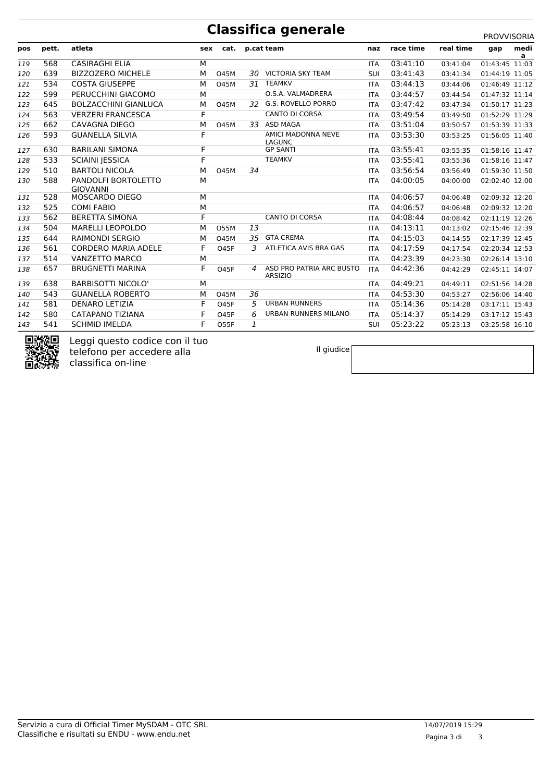### **Classifica generale**

|  |  | PROVVISORIA |  |  |
|--|--|-------------|--|--|
|  |  |             |  |  |

|     |                  |                                        |     |             |     |                                            |            |           |           | <b>PRUVVIJURIA</b> |           |
|-----|------------------|----------------------------------------|-----|-------------|-----|--------------------------------------------|------------|-----------|-----------|--------------------|-----------|
| pos | pett.            | atleta                                 | sex | cat.        |     | p.cat team                                 | naz        | race time | real time | gap                | medi<br>a |
| 119 | 568              | <b>CASIRAGHI ELIA</b>                  | M   |             |     |                                            | <b>ITA</b> | 03:41:10  | 03:41:04  | 01:43:45 11:03     |           |
| 120 | 639              | <b>BIZZOZERO MICHELE</b>               | M   | <b>O45M</b> |     | 30 VICTORIA SKY TEAM                       | SUI        | 03:41:43  | 03:41:34  | 01:44:19 11:05     |           |
| 121 | 534              | <b>COSTA GIUSEPPE</b>                  | M   | <b>O45M</b> |     | 31 TEAMKV                                  | <b>ITA</b> | 03:44:13  | 03:44:06  | 01:46:49 11:12     |           |
| 122 | 599              | PERUCCHINI GIACOMO                     | M   |             |     | O.S.A. VALMADRERA                          | <b>ITA</b> | 03:44:57  | 03:44:54  | 01:47:32 11:14     |           |
| 123 | 645              | <b>BOLZACCHINI GIANLUCA</b>            | M   | <b>O45M</b> | 32. | G.S. ROVELLO PORRO                         | <b>ITA</b> | 03:47:42  | 03:47:34  | 01:50:17 11:23     |           |
| 124 | 563              | <b>VERZERI FRANCESCA</b>               | F   |             |     | <b>CANTO DI CORSA</b>                      | <b>ITA</b> | 03:49:54  | 03:49:50  | 01:52:29 11:29     |           |
| 125 | 662              | <b>CAVAGNA DIEGO</b>                   | M   | <b>O45M</b> | 33  | <b>ASD MAGA</b>                            | <b>ITA</b> | 03:51:04  | 03:50:57  | 01:53:39 11:33     |           |
| 126 | 593              | <b>GUANELLA SILVIA</b>                 | F   |             |     | AMICI MADONNA NEVE<br>LAGUNC               | <b>ITA</b> | 03:53:30  | 03:53:25  | 01:56:05 11:40     |           |
| 127 | 630              | <b>BARILANI SIMONA</b>                 | F   |             |     | <b>GP SANTI</b>                            | <b>ITA</b> | 03:55:41  | 03:55:35  | 01:58:16 11:47     |           |
| 128 | 533              | <b>SCIAINI JESSICA</b>                 | F   |             |     | <b>TEAMKV</b>                              | <b>ITA</b> | 03:55:41  | 03:55:36  | 01:58:16 11:47     |           |
| 129 | 510              | <b>BARTOLI NICOLA</b>                  | M   | <b>O45M</b> | 34  |                                            | <b>ITA</b> | 03:56:54  | 03:56:49  | 01:59:30 11:50     |           |
| 130 | 588              | PANDOLFI BORTOLETTO<br><b>GIOVANNI</b> | M   |             |     |                                            | <b>ITA</b> | 04:00:05  | 04:00:00  | 02:02:40 12:00     |           |
| 131 | 528              | MOSCARDO DIEGO                         | M   |             |     |                                            | <b>ITA</b> | 04:06:57  | 04:06:48  | 02:09:32 12:20     |           |
| 132 | 525              | <b>COMI FABIO</b>                      | M   |             |     |                                            | <b>ITA</b> | 04:06:57  | 04:06:48  | 02:09:32 12:20     |           |
| 133 | 562              | <b>BERETTA SIMONA</b>                  | F   |             |     | <b>CANTO DI CORSA</b>                      | <b>ITA</b> | 04:08:44  | 04:08:42  | 02:11:19 12:26     |           |
| 134 | 504              | <b>MARELLI LEOPOLDO</b>                | M   | <b>O55M</b> | 13  |                                            | <b>ITA</b> | 04:13:11  | 04:13:02  | 02:15:46 12:39     |           |
| 135 | 644              | <b>RAIMONDI SERGIO</b>                 | M   | <b>O45M</b> | 35  | <b>GTA CREMA</b>                           | <b>ITA</b> | 04:15:03  | 04:14:55  | 02:17:39 12:45     |           |
| 136 | 561              | <b>CORDERO MARIA ADELE</b>             | F   | <b>O45F</b> | 3   | ATLETICA AVIS BRA GAS                      | <b>ITA</b> | 04:17:59  | 04:17:54  | 02:20:34 12:53     |           |
| 137 | 514              | <b>VANZETTO MARCO</b>                  | M   |             |     |                                            | <b>ITA</b> | 04:23:39  | 04:23:30  | 02:26:14 13:10     |           |
| 138 | 657              | <b>BRUGNETTI MARINA</b>                | F   | <b>O45F</b> | 4   | ASD PRO PATRIA ARC BUSTO<br><b>ARSIZIO</b> | <b>ITA</b> | 04:42:36  | 04:42:29  | 02:45:11 14:07     |           |
| 139 | 638              | <b>BARBISOTTI NICOLO'</b>              | M   |             |     |                                            | <b>ITA</b> | 04:49:21  | 04:49:11  | 02:51:56 14:28     |           |
| 140 | 543              | <b>GUANELLA ROBERTO</b>                | M   | <b>O45M</b> | 36  |                                            | <b>ITA</b> | 04:53:30  | 04:53:27  | 02:56:06 14:40     |           |
| 141 | 581              | <b>DENARO LETIZIA</b>                  | F   | <b>O45F</b> | 5   | <b>URBAN RUNNERS</b>                       | <b>ITA</b> | 05:14:36  | 05:14:28  | 03:17:11 15:43     |           |
| 142 | 580              | CATAPANO TIZIANA                       | F   | <b>O45F</b> | 6   | <b>URBAN RUNNERS MILANO</b>                | <b>ITA</b> | 05:14:37  | 05:14:29  | 03:17:12 15:43     |           |
| 143 | 541              | <b>SCHMID IMELDA</b>                   | F   | O55F        | 1   |                                            | SUI        | 05:23:22  | 05:23:13  | 03:25:58 16:10     |           |
|     | <b>CONVENITY</b> |                                        |     |             |     |                                            |            |           |           |                    |           |



Leggi questo codice con il tuo telefono per accedere alla classifica on-line

Il giudice